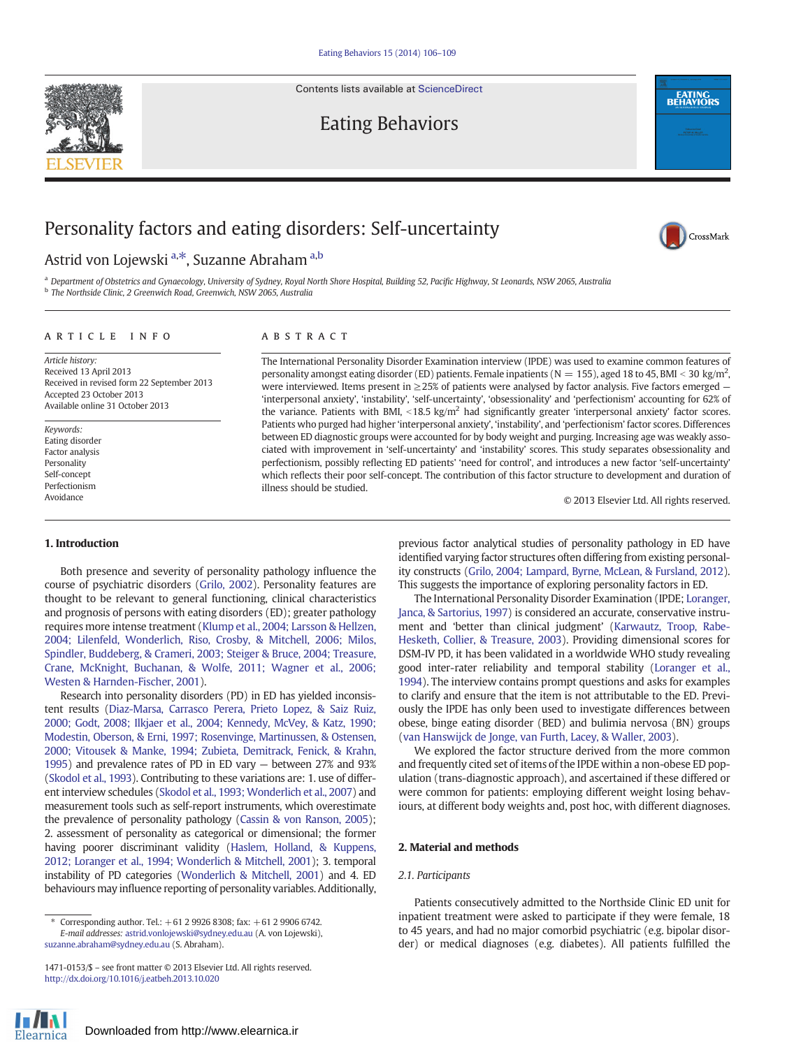Contents lists available at [ScienceDirect](http://www.sciencedirect.com/science/journal/14710153)



Eating Behaviors

# Personality factors and eating disorders: Self-uncertainty

# Astrid von Lojewski <sup>a,\*</sup>, Suzanne Abraham <sup>a,b</sup>

a Department of Obstetrics and Gynaecology, University of Sydney, Royal North Shore Hospital, Building 52, Pacific Highway, St Leonards, NSW 2065, Australia <sup>b</sup> The Northside Clinic, 2 Greenwich Road, Greenwich, NSW 2065, Australia

# article info abstract

Article history: Received 13 April 2013 Received in revised form 22 September 2013 Accepted 23 October 2013 Available online 31 October 2013

Keywords: Eating disorder Factor analysis Personality Self-concept Perfectionism Avoidance

The International Personality Disorder Examination interview (IPDE) was used to examine common features of personality amongst eating disorder (ED) patients. Female inpatients ( $N = 155$ ), aged 18 to 45, BMI < 30 kg/m<sup>2</sup>, were interviewed. Items present in  $\geq$  25% of patients were analysed by factor analysis. Five factors emerged  $-$ 'interpersonal anxiety', 'instability', 'self-uncertainty', 'obsessionality' and 'perfectionism' accounting for 62% of the variance. Patients with BMI,  $\langle 18.5 \text{ kg/m}^2$  had significantly greater 'interpersonal anxiety' factor scores. Patients who purged had higher 'interpersonal anxiety', 'instability', and 'perfectionism' factor scores. Differences between ED diagnostic groups were accounted for by body weight and purging. Increasing age was weakly associated with improvement in 'self-uncertainty' and 'instability' scores. This study separates obsessionality and perfectionism, possibly reflecting ED patients' 'need for control', and introduces a new factor 'self-uncertainty' which reflects their poor self-concept. The contribution of this factor structure to development and duration of illness should be studied.

© 2013 Elsevier Ltd. All rights reserved.

**EATING**<br>BEHAVIORS

CrossMark

# 1. Introduction

Both presence and severity of personality pathology influence the course of psychiatric disorders [\(Grilo, 2002](#page-3-0)). Personality features are thought to be relevant to general functioning, clinical characteristics and prognosis of persons with eating disorders (ED); greater pathology requires more intense treatment [\(Klump et al., 2004; Larsson & Hellzen,](#page-3-0) [2004; Lilenfeld, Wonderlich, Riso, Crosby, & Mitchell, 2006; Milos,](#page-3-0) [Spindler, Buddeberg, & Crameri, 2003; Steiger & Bruce, 2004; Treasure,](#page-3-0) [Crane, McKnight, Buchanan, & Wolfe, 2011; Wagner et al., 2006;](#page-3-0) [Westen & Harnden-Fischer, 2001](#page-3-0)).

Research into personality disorders (PD) in ED has yielded inconsistent results ([Diaz-Marsa, Carrasco Perera, Prieto Lopez, & Saiz Ruiz,](#page-3-0) [2000; Godt, 2008; Ilkjaer et al., 2004; Kennedy, McVey, & Katz, 1990;](#page-3-0) [Modestin, Oberson, & Erni, 1997; Rosenvinge, Martinussen, & Ostensen,](#page-3-0) [2000; Vitousek & Manke, 1994; Zubieta, Demitrack, Fenick, & Krahn,](#page-3-0) [1995](#page-3-0)) and prevalence rates of PD in ED vary — between 27% and 93% [\(Skodol et al., 1993\)](#page-3-0). Contributing to these variations are: 1. use of different interview schedules ([Skodol et al., 1993; Wonderlich et al., 2007\)](#page-3-0) and measurement tools such as self-report instruments, which overestimate the prevalence of personality pathology ([Cassin & von Ranson, 2005\)](#page-3-0); 2. assessment of personality as categorical or dimensional; the former having poorer discriminant validity ([Haslem, Holland, & Kuppens,](#page-3-0) [2012; Loranger et al., 1994; Wonderlich & Mitchell, 2001\)](#page-3-0); 3. temporal instability of PD categories [\(Wonderlich & Mitchell, 2001\)](#page-3-0) and 4. ED behaviours may influence reporting of personality variables. Additionally,

previous factor analytical studies of personality pathology in ED have identified varying factor structures often differing from existing personality constructs ([Grilo, 2004; Lampard, Byrne, McLean, & Fursland, 2012\)](#page-3-0). This suggests the importance of exploring personality factors in ED.

The International Personality Disorder Examination (IPDE; [Loranger,](#page-3-0) [Janca, & Sartorius, 1997](#page-3-0)) is considered an accurate, conservative instrument and 'better than clinical judgment' ([Karwautz, Troop, Rabe-](#page-3-0)[Hesketh, Collier, & Treasure, 2003](#page-3-0)). Providing dimensional scores for DSM-IV PD, it has been validated in a worldwide WHO study revealing good inter-rater reliability and temporal stability [\(Loranger et al.,](#page-3-0) [1994\)](#page-3-0). The interview contains prompt questions and asks for examples to clarify and ensure that the item is not attributable to the ED. Previously the IPDE has only been used to investigate differences between obese, binge eating disorder (BED) and bulimia nervosa (BN) groups [\(van Hanswijck de Jonge, van Furth, Lacey, & Waller, 2003](#page-3-0)).

We explored the factor structure derived from the more common and frequently cited set of items of the IPDE within a non-obese ED population (trans-diagnostic approach), and ascertained if these differed or were common for patients: employing different weight losing behaviours, at different body weights and, post hoc, with different diagnoses.

### 2. Material and methods

### 2.1. Participants

Patients consecutively admitted to the Northside Clinic ED unit for inpatient treatment were asked to participate if they were female, 18 to 45 years, and had no major comorbid psychiatric (e.g. bipolar disorder) or medical diagnoses (e.g. diabetes). All patients fulfilled the



<sup>⁎</sup> Corresponding author. Tel.: +61 2 9926 8308; fax: +61 2 9906 6742. E-mail addresses: [astrid.vonlojewski@sydney.edu.au](mailto:astrid.vonlojewski@sydney.edu.au) (A. von Lojewski), [suzanne.abraham@sydney.edu.au](mailto:suzanne.abraham@sydney.edu.au) (S. Abraham).

<sup>1471-0153/\$</sup> – see front matter © 2013 Elsevier Ltd. All rights reserved. <http://dx.doi.org/10.1016/j.eatbeh.2013.10.020>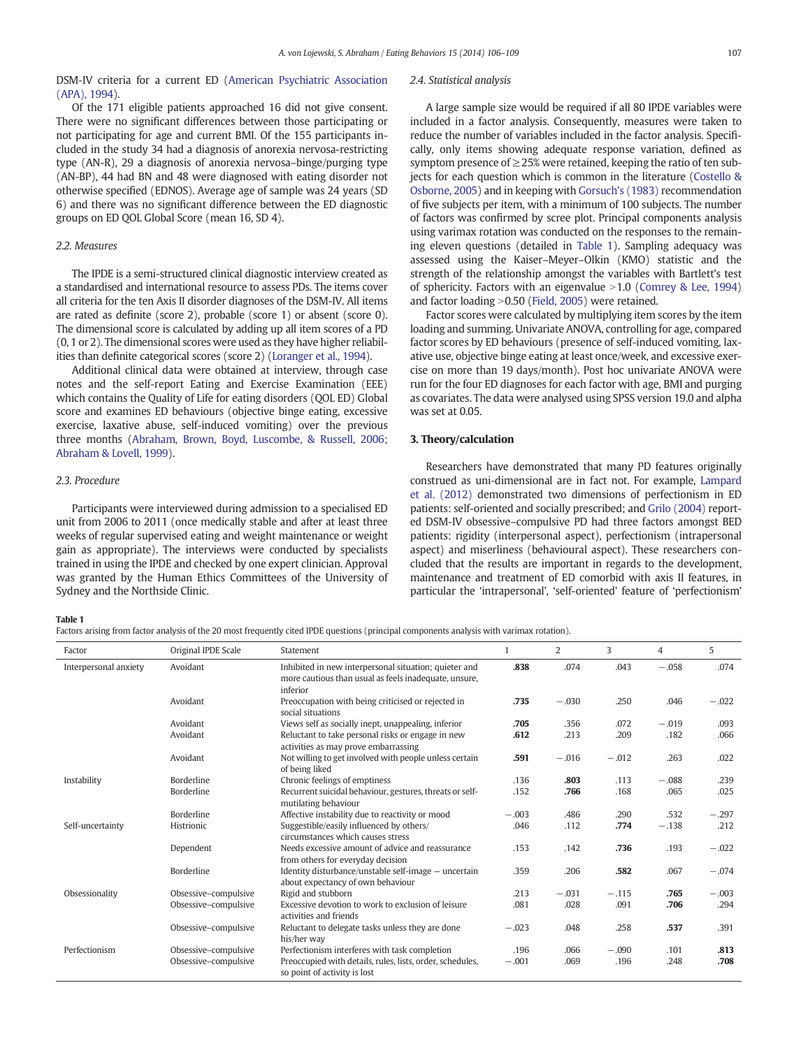# <span id="page-1-0"></span>DSM-IV criteria for a current ED [\(American Psychiatric Association](#page-3-0) [\(APA\), 1994\)](#page-3-0).

# Of the 171 eligible patients approached 16 did not give consent. There were no significant differences between those participating or not participating for age and current BMI. Of the 155 participants included in the study 34 had a diagnosis of anorexia nervosa-restricting type (AN-R), 29 a diagnosis of anorexia nervosa–binge/purging type (AN-BP), 44 had BN and 48 were diagnosed with eating disorder not otherwise specified (EDNOS). Average age of sample was 24 years (SD 6) and there was no significant difference between the ED diagnostic groups on ED QOL Global Score (mean 16, SD 4).

# 2.2. Measures

The IPDE is a semi-structured clinical diagnostic interview created as a standardised and international resource to assess PDs. The items cover all criteria for the ten Axis II disorder diagnoses of the DSM-IV. All items are rated as definite (score 2), probable (score 1) or absent (score 0). The dimensional score is calculated by adding up all item scores of a PD (0, 1 or 2). The dimensional scores were used as they have higher reliabilities than definite categorical scores (score 2) [\(Loranger et al., 1994\)](#page-3-0).

Additional clinical data were obtained at interview, through case notes and the self-report Eating and Exercise Examination (EEE) which contains the Quality of Life for eating disorders (QOL ED) Global score and examines ED behaviours (objective binge eating, excessive exercise, laxative abuse, self-induced vomiting) over the previous three months [\(Abraham, Brown, Boyd, Luscombe, & Russell, 2006;](#page-3-0) [Abraham & Lovell, 1999](#page-3-0)).

#### 2.3. Procedure

Participants were interviewed during admission to a specialised ED unit from 2006 to 2011 (once medically stable and after at least three weeks of regular supervised eating and weight maintenance or weight gain as appropriate). The interviews were conducted by specialists trained in using the IPDE and checked by one expert clinician. Approval was granted by the Human Ethics Committees of the University of Sydney and the Northside Clinic.

#### 2.4. Statistical analysis

A large sample size would be required if all 80 IPDE variables were included in a factor analysis. Consequently, measures were taken to reduce the number of variables included in the factor analysis. Specifically, only items showing adequate response variation, defined as symptom presence of  $\geq$  25% were retained, keeping the ratio of ten sub-jects for each question which is common in the literature [\(Costello &](#page-3-0) [Osborne, 2005](#page-3-0)) and in keeping with [Gorsuch's \(1983\)](#page-3-0) recommendation of five subjects per item, with a minimum of 100 subjects. The number of factors was confirmed by scree plot. Principal components analysis using varimax rotation was conducted on the responses to the remaining eleven questions (detailed in Table 1). Sampling adequacy was assessed using the Kaiser–Meyer–Olkin (KMO) statistic and the strength of the relationship amongst the variables with Bartlett's test of sphericity. Factors with an eigenvalue  $>1.0$  [\(Comrey & Lee, 1994](#page-3-0)) and factor loading  $>0.50$  ([Field, 2005\)](#page-3-0) were retained.

Factor scores were calculated by multiplying item scores by the item loading and summing. Univariate ANOVA, controlling for age, compared factor scores by ED behaviours (presence of self-induced vomiting, laxative use, objective binge eating at least once/week, and excessive exercise on more than 19 days/month). Post hoc univariate ANOVA were run for the four ED diagnoses for each factor with age, BMI and purging as covariates. The data were analysed using SPSS version 19.0 and alpha was set at 0.05.

# 3. Theory/calculation

Researchers have demonstrated that many PD features originally construed as uni-dimensional are in fact not. For example, [Lampard](#page-3-0) [et al. \(2012\)](#page-3-0) demonstrated two dimensions of perfectionism in ED patients: self-oriented and socially prescribed; and [Grilo \(2004\)](#page-3-0) reported DSM-IV obsessive–compulsive PD had three factors amongst BED patients: rigidity (interpersonal aspect), perfectionism (intrapersonal aspect) and miserliness (behavioural aspect). These researchers concluded that the results are important in regards to the development, maintenance and treatment of ED comorbid with axis II features, in particular the 'intrapersonal', 'self-oriented' feature of 'perfectionism'

#### Table 1

Factors arising from factor analysis of the 20 most frequently cited IPDE questions (principal components analysis with varimax rotation).

| Factor                | Original IPDE Scale  | Statement                                                                                                                  |         | $\overline{2}$ | 3       | $\overline{4}$ | 5       |
|-----------------------|----------------------|----------------------------------------------------------------------------------------------------------------------------|---------|----------------|---------|----------------|---------|
| Interpersonal anxiety | Avoidant             | Inhibited in new interpersonal situation; quieter and<br>more cautious than usual as feels inadequate, unsure,<br>inferior | .838    | .074           | .043    | $-.058$        | .074    |
|                       | Avoidant             | Preoccupation with being criticised or rejected in<br>social situations                                                    | .735    | $-.030$        | .250    | .046           | $-.022$ |
|                       | Avoidant             | Views self as socially inept, unappealing, inferior                                                                        | .705    | .356           | .072    | $-.019$        | .093    |
|                       | Avoidant             | Reluctant to take personal risks or engage in new<br>activities as may prove embarrassing                                  | .612    | .213           | .209    | .182           | .066    |
|                       | Avoidant             | Not willing to get involved with people unless certain<br>of being liked                                                   | .591    | $-.016$        | $-.012$ | .263           | .022    |
| Instability           | Borderline           | Chronic feelings of emptiness                                                                                              | .136    | .803           | .113    | $-.088$        | .239    |
|                       | Borderline           | Recurrent suicidal behaviour, gestures, threats or self-<br>mutilating behaviour                                           | .152    | .766           | .168    | .065           | .025    |
|                       | Borderline           | Affective instability due to reactivity or mood                                                                            | $-.003$ | .486           | .290    | .532           | $-.297$ |
| Self-uncertainty      | Histrionic           | Suggestible/easily influenced by others/<br>circumstances which causes stress                                              | .046    | .112           | .774    | $-.138$        | .212    |
|                       | Dependent            | Needs excessive amount of advice and reassurance<br>from others for everyday decision                                      | .153    | .142           | .736    | .193           | $-.022$ |
|                       | Borderline           | Identity disturbance/unstable self-image - uncertain<br>about expectancy of own behaviour                                  | .359    | .206           | .582    | .067           | $-.074$ |
| Obsessionality        | Obsessive-compulsive | Rigid and stubborn                                                                                                         | .213    | $-.031$        | $-.115$ | .765           | $-.003$ |
|                       | Obsessive-compulsive | Excessive devotion to work to exclusion of leisure<br>activities and friends                                               | .081    | .028           | .091    | .706           | .294    |
|                       | Obsessive-compulsive | Reluctant to delegate tasks unless they are done<br>his/her way                                                            | $-.023$ | .048           | .258    | .537           | .391    |
| Perfectionism         | Obsessive-compulsive | Perfectionism interferes with task completion                                                                              | .196    | .066           | $-.090$ | .101           | .813    |
|                       | Obsessive-compulsive | Preoccupied with details, rules, lists, order, schedules,<br>so point of activity is lost                                  | $-.001$ | .069           | .196    | .248           | .708    |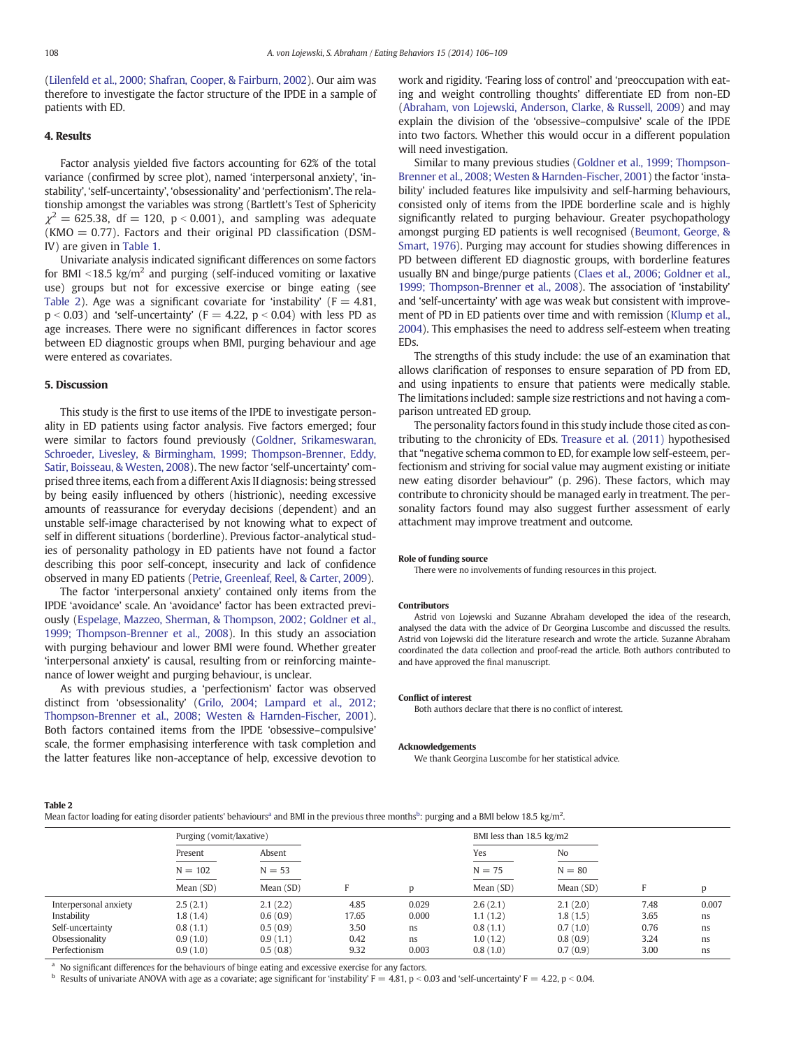[\(Lilenfeld et al., 2000; Shafran, Cooper, & Fairburn, 2002](#page-3-0)). Our aim was therefore to investigate the factor structure of the IPDE in a sample of patients with ED.

### 4. Results

Factor analysis yielded five factors accounting for 62% of the total variance (confirmed by scree plot), named 'interpersonal anxiety', 'instability', 'self-uncertainty', 'obsessionality' and 'perfectionism'. The relationship amongst the variables was strong (Bartlett's Test of Sphericity  $\chi^2 = 625.38$ , df = 120, p < 0.001), and sampling was adequate  $(KMO = 0.77)$ . Factors and their original PD classification (DSM-IV) are given in [Table 1.](#page-1-0)

Univariate analysis indicated significant differences on some factors for BMI  $\leq$ 18.5 kg/m<sup>2</sup> and purging (self-induced vomiting or laxative use) groups but not for excessive exercise or binge eating (see Table 2). Age was a significant covariate for 'instability'  $(F = 4.81,$  $p < 0.03$ ) and 'self-uncertainty' (F = 4.22,  $p < 0.04$ ) with less PD as age increases. There were no significant differences in factor scores between ED diagnostic groups when BMI, purging behaviour and age were entered as covariates.

# 5. Discussion

This study is the first to use items of the IPDE to investigate personality in ED patients using factor analysis. Five factors emerged; four were similar to factors found previously ([Goldner, Srikameswaran,](#page-3-0) [Schroeder, Livesley, & Birmingham, 1999; Thompson-Brenner, Eddy,](#page-3-0) [Satir, Boisseau, & Westen, 2008](#page-3-0)). The new factor 'self-uncertainty' comprised three items, each from a different Axis II diagnosis: being stressed by being easily influenced by others (histrionic), needing excessive amounts of reassurance for everyday decisions (dependent) and an unstable self-image characterised by not knowing what to expect of self in different situations (borderline). Previous factor-analytical studies of personality pathology in ED patients have not found a factor describing this poor self-concept, insecurity and lack of confidence observed in many ED patients ([Petrie, Greenleaf, Reel, & Carter, 2009\)](#page-3-0).

The factor 'interpersonal anxiety' contained only items from the IPDE 'avoidance' scale. An 'avoidance' factor has been extracted previously ([Espelage, Mazzeo, Sherman, & Thompson, 2002; Goldner et al.,](#page-3-0) [1999; Thompson-Brenner et al., 2008\)](#page-3-0). In this study an association with purging behaviour and lower BMI were found. Whether greater 'interpersonal anxiety' is causal, resulting from or reinforcing maintenance of lower weight and purging behaviour, is unclear.

As with previous studies, a 'perfectionism' factor was observed distinct from 'obsessionality' [\(Grilo, 2004; Lampard et al., 2012;](#page-3-0) [Thompson-Brenner et al., 2008; Westen & Harnden-Fischer, 2001\)](#page-3-0). Both factors contained items from the IPDE 'obsessive–compulsive' scale, the former emphasising interference with task completion and the latter features like non-acceptance of help, excessive devotion to work and rigidity. 'Fearing loss of control' and 'preoccupation with eating and weight controlling thoughts' differentiate ED from non-ED [\(Abraham, von Lojewski, Anderson, Clarke, & Russell, 2009\)](#page-3-0) and may explain the division of the 'obsessive–compulsive' scale of the IPDE into two factors. Whether this would occur in a different population will need investigation.

Similar to many previous studies [\(Goldner et al., 1999; Thompson-](#page-3-0)[Brenner et al., 2008; Westen & Harnden-Fischer, 2001](#page-3-0)) the factor 'instability' included features like impulsivity and self-harming behaviours, consisted only of items from the IPDE borderline scale and is highly significantly related to purging behaviour. Greater psychopathology amongst purging ED patients is well recognised ([Beumont, George, &](#page-3-0) [Smart, 1976\)](#page-3-0). Purging may account for studies showing differences in PD between different ED diagnostic groups, with borderline features usually BN and binge/purge patients ([Claes et al., 2006; Goldner et al.,](#page-3-0) [1999; Thompson-Brenner et al., 2008\)](#page-3-0). The association of 'instability' and 'self-uncertainty' with age was weak but consistent with improvement of PD in ED patients over time and with remission ([Klump et al.,](#page-3-0) [2004\)](#page-3-0). This emphasises the need to address self-esteem when treating EDs.

The strengths of this study include: the use of an examination that allows clarification of responses to ensure separation of PD from ED, and using inpatients to ensure that patients were medically stable. The limitations included: sample size restrictions and not having a comparison untreated ED group.

The personality factors found in this study include those cited as contributing to the chronicity of EDs. [Treasure et al. \(2011\)](#page-3-0) hypothesised that "negative schema common to ED, for example low self-esteem, perfectionism and striving for social value may augment existing or initiate new eating disorder behaviour" (p. 296). These factors, which may contribute to chronicity should be managed early in treatment. The personality factors found may also suggest further assessment of early attachment may improve treatment and outcome.

#### Role of funding source

There were no involvements of funding resources in this project.

#### Contributors

Astrid von Lojewski and Suzanne Abraham developed the idea of the research, analysed the data with the advice of Dr Georgina Luscombe and discussed the results. Astrid von Lojewski did the literature research and wrote the article. Suzanne Abraham coordinated the data collection and proof-read the article. Both authors contributed to and have approved the final manuscript.

#### Conflict of interest

Both authors declare that there is no conflict of interest.

#### Acknowledgements

We thank Georgina Luscombe for her statistical advice.

#### Table 2

Mean factor loading for eating disorder patients' behaviours<sup>a</sup> and BMI in the previous three months<sup>b</sup>: purging and a BMI below 18.5 kg/m<sup>2</sup>.

|                       | Purging (vomit/laxative) |           |       |       | BMI less than 18.5 kg/m2 |           |      |       |
|-----------------------|--------------------------|-----------|-------|-------|--------------------------|-----------|------|-------|
|                       | Present                  | Absent    |       |       | Yes                      | No        |      |       |
|                       | $N = 102$                | $N = 53$  |       |       | $N = 75$                 | $N = 80$  |      |       |
|                       | Mean (SD)                | Mean (SD) | н     | I)    | Mean (SD)                | Mean (SD) |      |       |
| Interpersonal anxiety | 2.5(2.1)                 | 2.1(2.2)  | 4.85  | 0.029 | 2.6(2.1)                 | 2.1(2.0)  | 7.48 | 0.007 |
| Instability           | 1.8(1.4)                 | 0.6(0.9)  | 17.65 | 0.000 | 1.1(1.2)                 | 1.8(1.5)  | 3.65 | ns    |
| Self-uncertainty      | 0.8(1.1)                 | 0.5(0.9)  | 3.50  | ns.   | 0.8(1.1)                 | 0.7(1.0)  | 0.76 | ns    |
| Obsessionality        | 0.9(1.0)                 | 0.9(1.1)  | 0.42  | ns.   | 1.0(1.2)                 | 0.8(0.9)  | 3.24 | ns    |
| Perfectionism         | 0.9(1.0)                 | 0.5(0.8)  | 9.32  | 0.003 | 0.8(1.0)                 | 0.7(0.9)  | 3.00 | ns    |
|                       |                          |           |       |       |                          |           |      |       |

<sup>a</sup> No significant differences for the behaviours of binge eating and excessive exercise for any factors.

Results of univariate ANOVA with age as a covariate; age significant for 'instability'  $F = 4.81$ , p < 0.03 and 'self-uncertainty'  $F = 4.22$ , p < 0.04.